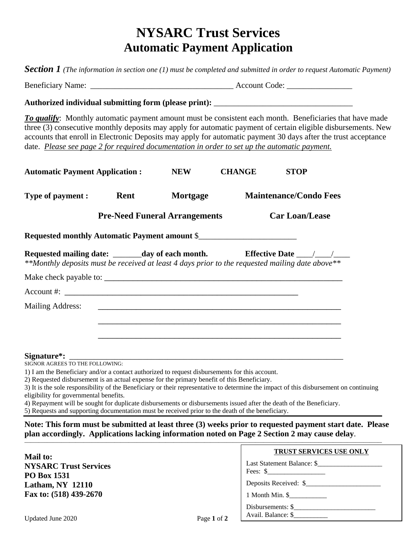# **NYSARC Trust Services Automatic Payment Application**

*Section 1 (The information in section one (1) must be completed and submitted in order to request Automatic Payment)*

Beneficiary Name: \_\_\_\_\_\_\_\_\_\_\_\_\_\_\_\_\_\_\_\_\_\_\_\_\_\_\_\_\_\_\_\_\_\_\_ Account Code: \_\_\_\_\_\_\_\_\_\_\_\_\_\_\_\_

#### **Authorized individual submitting form (please print):** \_\_\_\_\_\_\_\_\_\_\_\_\_\_\_\_\_\_\_\_\_\_\_\_\_\_\_\_\_\_\_\_\_\_

*To qualify*: Monthly automatic payment amount must be consistent each month. Beneficiaries that have made three (3) consecutive monthly deposits may apply for automatic payment of certain eligible disbursements. New accounts that enroll in Electronic Deposits may apply for automatic payment 30 days after the trust acceptance date. *Please see page 2 for required documentation in order to set up the automatic payment.*

| <b>Automatic Payment Application:</b>                                                                                                                                                                                   |      | <b>NEW</b>                                                                       | <b>CHANGE</b> | <b>STOP</b>                   |  |
|-------------------------------------------------------------------------------------------------------------------------------------------------------------------------------------------------------------------------|------|----------------------------------------------------------------------------------|---------------|-------------------------------|--|
| Type of payment :                                                                                                                                                                                                       | Rent | Mortgage                                                                         |               | <b>Maintenance/Condo Fees</b> |  |
|                                                                                                                                                                                                                         |      | <b>Pre-Need Funeral Arrangements</b>                                             |               | <b>Car Loan/Lease</b>         |  |
| Requested monthly Automatic Payment amount \$                                                                                                                                                                           |      |                                                                                  |               |                               |  |
| Requested mailing date: _______day of each month. Fifective Date ________________<br>**Monthly deposits must be received at least 4 days prior to the requested mailing date above**                                    |      |                                                                                  |               |                               |  |
|                                                                                                                                                                                                                         |      |                                                                                  |               |                               |  |
|                                                                                                                                                                                                                         |      |                                                                                  |               |                               |  |
| <b>Mailing Address:</b>                                                                                                                                                                                                 |      |                                                                                  |               |                               |  |
|                                                                                                                                                                                                                         |      | ,我们也不能在这里,我们也不能会在这里,我们也不能会在这里,我们也不能会在这里,我们也不能会在这里,我们也不能会不能会。""我们,我们也不能会不能会不能会不能会 |               |                               |  |
|                                                                                                                                                                                                                         |      |                                                                                  |               |                               |  |
|                                                                                                                                                                                                                         |      |                                                                                  |               |                               |  |
| SIGNOR AGREES TO THE FOLLOWING:                                                                                                                                                                                         |      |                                                                                  |               |                               |  |
| 1) I am the Beneficiary and/or a contact authorized to request disbursements for this account.                                                                                                                          |      |                                                                                  |               |                               |  |
| 2) Requested disbursement is an actual expense for the primary benefit of this Beneficiary.                                                                                                                             |      |                                                                                  |               |                               |  |
| 3) It is the sole responsibility of the Beneficiary or their representative to determine the impact of this disbursement on continuing<br>eligibility for governmental benefits.                                        |      |                                                                                  |               |                               |  |
| 4) Repayment will be sought for duplicate disbursements or disbursements issued after the death of the Beneficiary.<br>5) Requests and supporting documentation must be received prior to the death of the beneficiary. |      |                                                                                  |               |                               |  |
| Note: This form must be submitted at least three (3) weeks prior to requested payment start date. Please                                                                                                                |      |                                                                                  |               |                               |  |

#### **plan accordingly. Applications lacking information noted on Page 2 Section 2 may cause delay**.

| <b>Mail to:</b>                                    |             | <b>TRUST SERVICES USE ONLY</b>                      |
|----------------------------------------------------|-------------|-----------------------------------------------------|
| <b>NYSARC Trust Services</b><br><b>PO Box 1531</b> |             | Last Statement Balance: \$<br>Fees: $\frac{\ }{\ }$ |
| <b>Latham, NY 12110</b>                            |             | Deposits Received: \$                               |
| Fax to: (518) 439-2670                             |             | $1$ Month Min. $\$                                  |
| Updated June 2020                                  | Page 1 of 2 | Disbursements: \$<br>Avail. Balance: \$             |

**\_\_\_\_\_\_\_\_\_\_\_\_\_\_\_\_\_\_\_\_\_\_\_\_\_\_\_\_\_\_\_\_\_\_\_\_\_\_\_\_\_\_\_\_\_\_\_\_\_\_\_\_\_\_\_\_\_\_\_\_\_\_\_\_\_\_\_\_\_\_\_\_\_\_\_\_\_\_\_\_\_\_\_\_\_\_\_\_\_\_\_\_\_\_\_\_\_\_\_\_\_\_\_\_\_\_\_\_\_\_\_\_\_\_\_\_\_\_\_\_\_\_\_\_\_\_\_\_\_\_\_\_\_\_\_\_\_\_\_\_\_\_\_\_\_\_\_\_\_\_\_\_\_\_\_\_\_\_\_\_\_\_\_\_\_\_\_\_\_\_\_\_\_\_\_**